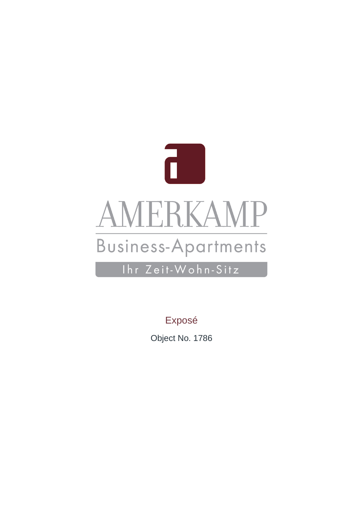

Exposé

Object No. 1786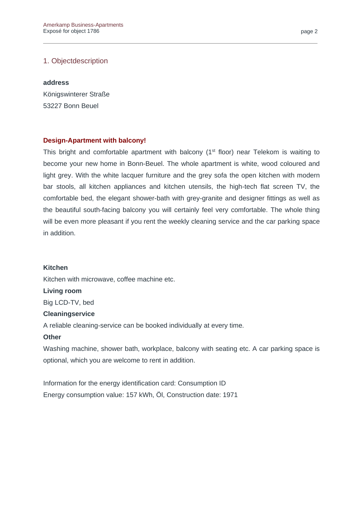### 1. Objectdescription

#### **address**

Königswinterer Straße 53227 Bonn Beuel

### **Design-Apartment with balcony!**

This bright and comfortable apartment with balcony (1<sup>st</sup> floor) near Telekom is waiting to become your new home in Bonn-Beuel. The whole apartment is white, wood coloured and light grey. With the white lacquer furniture and the grey sofa the open kitchen with modern bar stools, all kitchen appliances and kitchen utensils, the high-tech flat screen TV, the comfortable bed, the elegant shower-bath with grey-granite and designer fittings as well as the beautiful south-facing balcony you will certainly feel very comfortable. The whole thing will be even more pleasant if you rent the weekly cleaning service and the car parking space in addition.

### **Kitchen**

Kitchen with microwave, coffee machine etc.

**Living room**

Big LCD-TV, bed

### **Cleaningservice**

A reliable cleaning-service can be booked individually at every time.

### **Other**

Washing machine, shower bath, workplace, balcony with seating etc. A car parking space is optional, which you are welcome to rent in addition.

Information for the energy identification card: Consumption ID Energy consumption value: 157 kWh, Öl, Construction date: 1971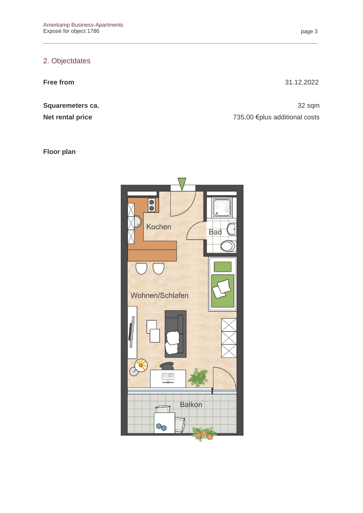# 2. Objectdates

**Free from** 31.12.2022

**Squaremeters ca. 32 sqm Net rental price** The Term of Table 1.000 and Table 1.000 and Table 1.000 and Table 1.000 and Table 1.000 and Table 1.000 and Table 1.000 and Table 1.000 and Table 1.000 and Table 1.000 and Table 1.000 and Table 1.000 an

**Floor plan**

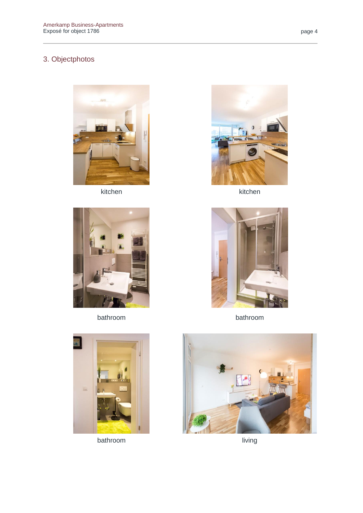# 3. Objectphotos







kitchen kitchen



bathroom bathroom





bathroom living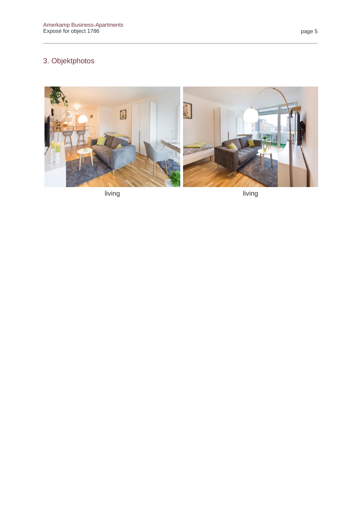# 3. Objektphotos



living

living